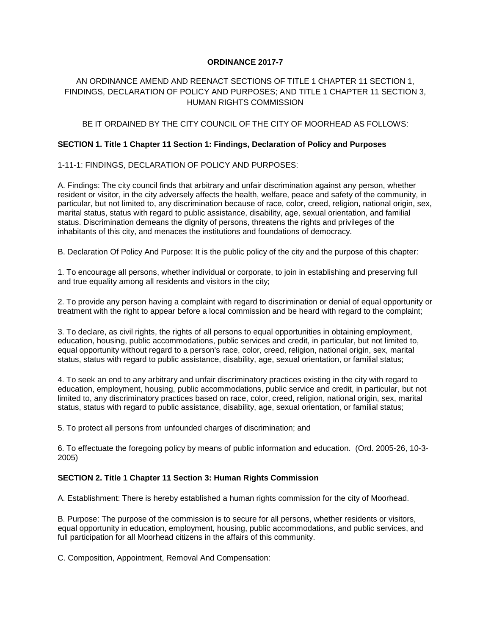### **ORDINANCE 2017-7**

# AN ORDINANCE AMEND AND REENACT SECTIONS OF TITLE 1 CHAPTER 11 SECTION 1, FINDINGS, DECLARATION OF POLICY AND PURPOSES; AND TITLE 1 CHAPTER 11 SECTION 3, HUMAN RIGHTS COMMISSION

## BE IT ORDAINED BY THE CITY COUNCIL OF THE CITY OF MOORHEAD AS FOLLOWS:

#### **SECTION 1. Title 1 Chapter 11 Section 1: Findings, Declaration of Policy and Purposes**

### 1-11-1: FINDINGS, DECLARATION OF POLICY AND PURPOSES:

A. Findings: The city council finds that arbitrary and unfair discrimination against any person, whether resident or visitor, in the city adversely affects the health, welfare, peace and safety of the community, in particular, but not limited to, any discrimination because of race, color, creed, religion, national origin, sex, marital status, status with regard to public assistance, disability, age, sexual orientation, and familial status. Discrimination demeans the dignity of persons, threatens the rights and privileges of the inhabitants of this city, and menaces the institutions and foundations of democracy.

B. Declaration Of Policy And Purpose: It is the public policy of the city and the purpose of this chapter:

1. To encourage all persons, whether individual or corporate, to join in establishing and preserving full and true equality among all residents and visitors in the city;

2. To provide any person having a complaint with regard to discrimination or denial of equal opportunity or treatment with the right to appear before a local commission and be heard with regard to the complaint;

3. To declare, as civil rights, the rights of all persons to equal opportunities in obtaining employment, education, housing, public accommodations, public services and credit, in particular, but not limited to, equal opportunity without regard to a person's race, color, creed, religion, national origin, sex, marital status, status with regard to public assistance, disability, age, sexual orientation, or familial status;

4. To seek an end to any arbitrary and unfair discriminatory practices existing in the city with regard to education, employment, housing, public accommodations, public service and credit, in particular, but not limited to, any discriminatory practices based on race, color, creed, religion, national origin, sex, marital status, status with regard to public assistance, disability, age, sexual orientation, or familial status;

5. To protect all persons from unfounded charges of discrimination; and

6. To effectuate the foregoing policy by means of public information and education. (Ord. 2005-26, 10-3- 2005)

## **SECTION 2. Title 1 Chapter 11 Section 3: Human Rights Commission**

A. Establishment: There is hereby established a human rights commission for the city of Moorhead.

B. Purpose: The purpose of the commission is to secure for all persons, whether residents or visitors, equal opportunity in education, employment, housing, public accommodations, and public services, and full participation for all Moorhead citizens in the affairs of this community.

C. Composition, Appointment, Removal And Compensation: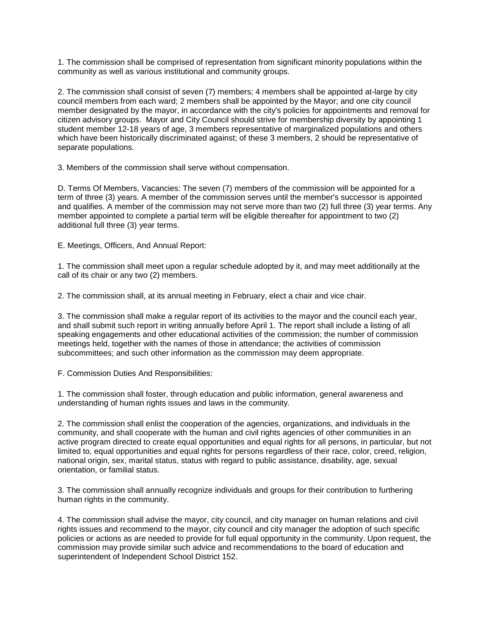1. The commission shall be comprised of representation from significant minority populations within the community as well as various institutional and community groups.

2. The commission shall consist of seven (7) members; 4 members shall be appointed at-large by city council members from each ward; 2 members shall be appointed by the Mayor; and one city council member designated by the mayor, in accordance with the city's policies for appointments and removal for citizen advisory groups. Mayor and City Council should strive for membership diversity by appointing 1 student member 12-18 years of age, 3 members representative of marginalized populations and others which have been historically discriminated against; of these 3 members, 2 should be representative of separate populations.

3. Members of the commission shall serve without compensation.

D. Terms Of Members, Vacancies: The seven (7) members of the commission will be appointed for a term of three (3) years. A member of the commission serves until the member's successor is appointed and qualifies. A member of the commission may not serve more than two (2) full three (3) year terms. Any member appointed to complete a partial term will be eligible thereafter for appointment to two (2) additional full three (3) year terms.

E. Meetings, Officers, And Annual Report:

1. The commission shall meet upon a regular schedule adopted by it, and may meet additionally at the call of its chair or any two (2) members.

2. The commission shall, at its annual meeting in February, elect a chair and vice chair.

3. The commission shall make a regular report of its activities to the mayor and the council each year, and shall submit such report in writing annually before April 1. The report shall include a listing of all speaking engagements and other educational activities of the commission; the number of commission meetings held, together with the names of those in attendance; the activities of commission subcommittees; and such other information as the commission may deem appropriate.

F. Commission Duties And Responsibilities:

1. The commission shall foster, through education and public information, general awareness and understanding of human rights issues and laws in the community.

2. The commission shall enlist the cooperation of the agencies, organizations, and individuals in the community, and shall cooperate with the human and civil rights agencies of other communities in an active program directed to create equal opportunities and equal rights for all persons, in particular, but not limited to, equal opportunities and equal rights for persons regardless of their race, color, creed, religion, national origin, sex, marital status, status with regard to public assistance, disability, age, sexual orientation, or familial status.

3. The commission shall annually recognize individuals and groups for their contribution to furthering human rights in the community.

4. The commission shall advise the mayor, city council, and city manager on human relations and civil rights issues and recommend to the mayor, city council and city manager the adoption of such specific policies or actions as are needed to provide for full equal opportunity in the community. Upon request, the commission may provide similar such advice and recommendations to the board of education and superintendent of Independent School District 152.